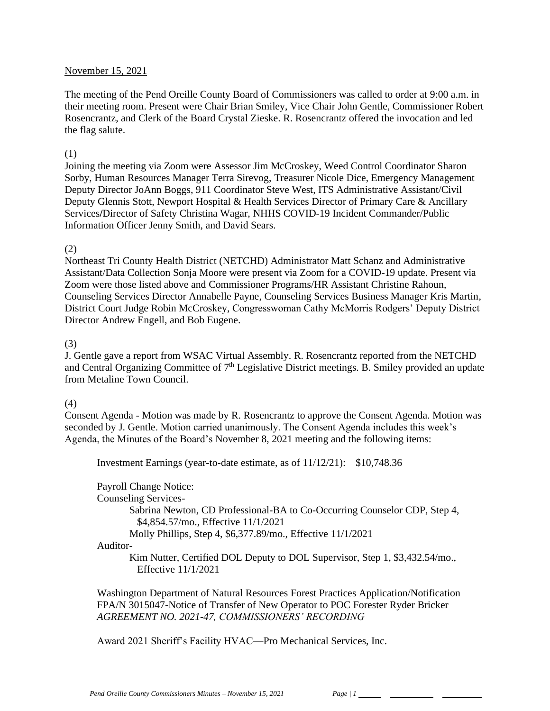### November 15, 2021

The meeting of the Pend Oreille County Board of Commissioners was called to order at 9:00 a.m. in their meeting room. Present were Chair Brian Smiley, Vice Chair John Gentle, Commissioner Robert Rosencrantz, and Clerk of the Board Crystal Zieske. R. Rosencrantz offered the invocation and led the flag salute.

### (1)

Joining the meeting via Zoom were Assessor Jim McCroskey, Weed Control Coordinator Sharon Sorby, Human Resources Manager Terra Sirevog, Treasurer Nicole Dice, Emergency Management Deputy Director JoAnn Boggs, 911 Coordinator Steve West, ITS Administrative Assistant/Civil Deputy Glennis Stott, Newport Hospital & Health Services Director of Primary Care & Ancillary Services**/**Director of Safety Christina Wagar, NHHS COVID-19 Incident Commander/Public Information Officer Jenny Smith, and David Sears.

### (2)

Northeast Tri County Health District (NETCHD) Administrator Matt Schanz and Administrative Assistant/Data Collection Sonja Moore were present via Zoom for a COVID-19 update. Present via Zoom were those listed above and Commissioner Programs/HR Assistant Christine Rahoun, Counseling Services Director Annabelle Payne, Counseling Services Business Manager Kris Martin, District Court Judge Robin McCroskey, Congresswoman Cathy McMorris Rodgers' Deputy District Director Andrew Engell, and Bob Eugene.

# (3)

J. Gentle gave a report from WSAC Virtual Assembly. R. Rosencrantz reported from the NETCHD and Central Organizing Committee of 7<sup>th</sup> Legislative District meetings. B. Smiley provided an update from Metaline Town Council.

# (4)

Consent Agenda - Motion was made by R. Rosencrantz to approve the Consent Agenda. Motion was seconded by J. Gentle. Motion carried unanimously. The Consent Agenda includes this week's Agenda, the Minutes of the Board's November 8, 2021 meeting and the following items:

Investment Earnings (year-to-date estimate, as of 11/12/21): \$10,748.36

Payroll Change Notice: Counseling Services-Sabrina Newton, CD Professional-BA to Co-Occurring Counselor CDP, Step 4, \$4,854.57/mo., Effective 11/1/2021 Molly Phillips, Step 4, \$6,377.89/mo., Effective 11/1/2021 Auditor-Kim Nutter, Certified DOL Deputy to DOL Supervisor, Step 1, \$3,432.54/mo., Effective 11/1/2021

Washington Department of Natural Resources Forest Practices Application/Notification FPA/N 3015047-Notice of Transfer of New Operator to POC Forester Ryder Bricker *AGREEMENT NO. 2021-47, COMMISSIONERS' RECORDING*

Award 2021 Sheriff's Facility HVAC—Pro Mechanical Services, Inc.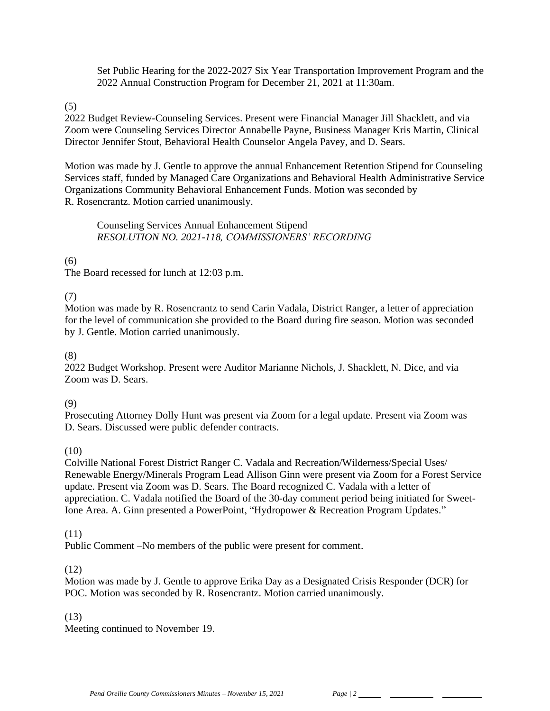Set Public Hearing for the 2022-2027 Six Year Transportation Improvement Program and the 2022 Annual Construction Program for December 21, 2021 at 11:30am.

(5)

2022 Budget Review-Counseling Services. Present were Financial Manager Jill Shacklett, and via Zoom were Counseling Services Director Annabelle Payne, Business Manager Kris Martin, Clinical Director Jennifer Stout, Behavioral Health Counselor Angela Pavey, and D. Sears.

Motion was made by J. Gentle to approve the annual Enhancement Retention Stipend for Counseling Services staff, funded by Managed Care Organizations and Behavioral Health Administrative Service Organizations Community Behavioral Enhancement Funds. Motion was seconded by R. Rosencrantz. Motion carried unanimously.

Counseling Services Annual Enhancement Stipend *RESOLUTION NO. 2021-118, COMMISSIONERS' RECORDING* 

# (6)

The Board recessed for lunch at 12:03 p.m.

(7)

Motion was made by R. Rosencrantz to send Carin Vadala, District Ranger, a letter of appreciation for the level of communication she provided to the Board during fire season. Motion was seconded by J. Gentle. Motion carried unanimously.

(8)

2022 Budget Workshop. Present were Auditor Marianne Nichols, J. Shacklett, N. Dice, and via Zoom was D. Sears.

(9)

Prosecuting Attorney Dolly Hunt was present via Zoom for a legal update. Present via Zoom was D. Sears. Discussed were public defender contracts.

#### (10)

Colville National Forest District Ranger C. Vadala and Recreation/Wilderness/Special Uses/ Renewable Energy/Minerals Program Lead Allison Ginn were present via Zoom for a Forest Service update. Present via Zoom was D. Sears. The Board recognized C. Vadala with a letter of appreciation. C. Vadala notified the Board of the 30-day comment period being initiated for Sweet-Ione Area. A. Ginn presented a PowerPoint, "Hydropower & Recreation Program Updates."

#### (11)

Public Comment –No members of the public were present for comment.

#### (12)

Motion was made by J. Gentle to approve Erika Day as a Designated Crisis Responder (DCR) for POC. Motion was seconded by R. Rosencrantz. Motion carried unanimously.

# (13)

Meeting continued to November 19.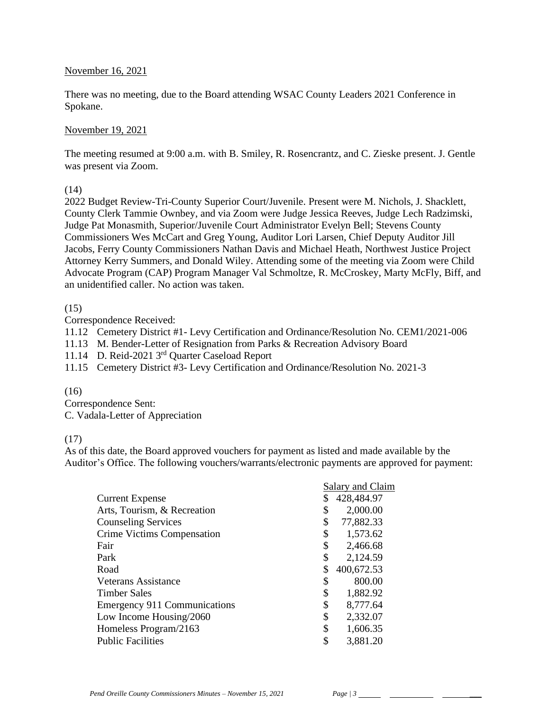### November 16, 2021

There was no meeting, due to the Board attending WSAC County Leaders 2021 Conference in Spokane.

### November 19, 2021

The meeting resumed at 9:00 a.m. with B. Smiley, R. Rosencrantz, and C. Zieske present. J. Gentle was present via Zoom.

### (14)

2022 Budget Review-Tri-County Superior Court/Juvenile. Present were M. Nichols, J. Shacklett, County Clerk Tammie Ownbey, and via Zoom were Judge Jessica Reeves, Judge Lech Radzimski, Judge Pat Monasmith, Superior/Juvenile Court Administrator Evelyn Bell; Stevens County Commissioners Wes McCart and Greg Young, Auditor Lori Larsen, Chief Deputy Auditor Jill Jacobs, Ferry County Commissioners Nathan Davis and Michael Heath, Northwest Justice Project Attorney Kerry Summers, and Donald Wiley. Attending some of the meeting via Zoom were Child Advocate Program (CAP) Program Manager Val Schmoltze, R. McCroskey, Marty McFly, Biff, and an unidentified caller. No action was taken.

# (15)

Correspondence Received:

11.12 Cemetery District #1- Levy Certification and Ordinance/Resolution No. CEM1/2021-006

11.13 M. Bender-Letter of Resignation from Parks & Recreation Advisory Board

11.14 D. Reid-2021 3rd Quarter Caseload Report

11.15 Cemetery District #3- Levy Certification and Ordinance/Resolution No. 2021-3

#### $(16)$

Correspondence Sent: C. Vadala-Letter of Appreciation

# (17)

As of this date, the Board approved vouchers for payment as listed and made available by the Auditor's Office. The following vouchers/warrants/electronic payments are approved for payment:

|                                     | Salary and Claim |            |
|-------------------------------------|------------------|------------|
| <b>Current Expense</b>              | \$               | 428,484.97 |
| Arts, Tourism, & Recreation         | \$               | 2,000.00   |
| <b>Counseling Services</b>          | \$               | 77,882.33  |
| Crime Victims Compensation          | \$               | 1,573.62   |
| Fair                                | \$               | 2,466.68   |
| Park                                | \$               | 2,124.59   |
| Road                                | \$               | 400,672.53 |
| Veterans Assistance                 | \$               | 800.00     |
| Timber Sales                        | \$               | 1,882.92   |
| <b>Emergency 911 Communications</b> | \$               | 8,777.64   |
| Low Income Housing/2060             | \$               | 2,332.07   |
| Homeless Program/2163               | \$               | 1,606.35   |
| <b>Public Facilities</b>            | \$               | 3,881.20   |